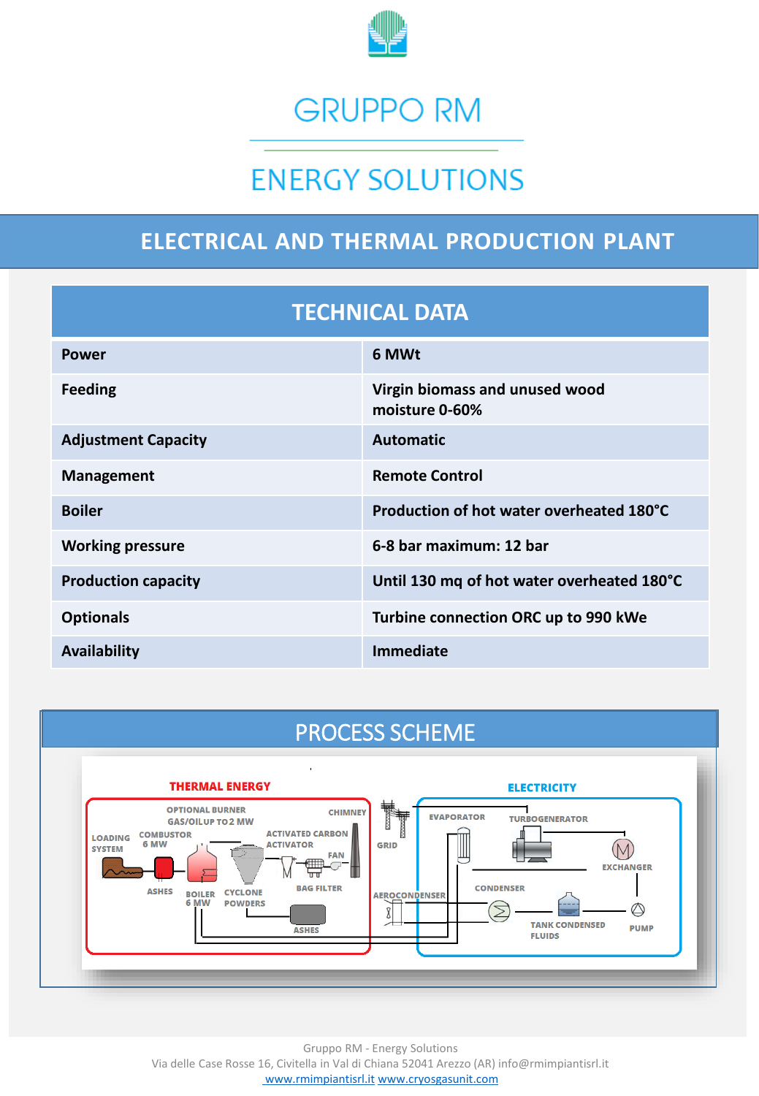

# **GRUPPO RM**

# **ENERGY SOLUTIONS**

## **ELECTRICAL AND THERMAL PRODUCTION PLANT**

#### **TECHNICAL DATA**

| <b>Power</b>               | 6 MWt                                            |
|----------------------------|--------------------------------------------------|
| <b>Feeding</b>             | Virgin biomass and unused wood<br>moisture 0-60% |
| <b>Adjustment Capacity</b> | <b>Automatic</b>                                 |
| <b>Management</b>          | <b>Remote Control</b>                            |
| <b>Boiler</b>              | Production of hot water overheated 180°C         |
| <b>Working pressure</b>    | 6-8 bar maximum: 12 bar                          |
| <b>Production capacity</b> | Until 130 mg of hot water overheated 180°C       |
| <b>Optionals</b>           | Turbine connection ORC up to 990 kWe             |
| Availability               | Immediate                                        |

## PROCESS SCHEME



Gruppo RM - Energy Solutions Via delle Case Rosse 16, Civitella in Val di Chiana 52041 Arezzo (AR) info@rmimpiantisrl.it [www.rmimpiantisrl.it](http://www.rmimpiantisrl.it/) [www.cryosgasunit.com](http://www.cryosgasunit.com/)